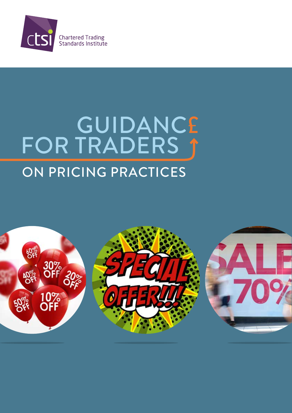

# for tradErs GUIDANC£ on pricing practices

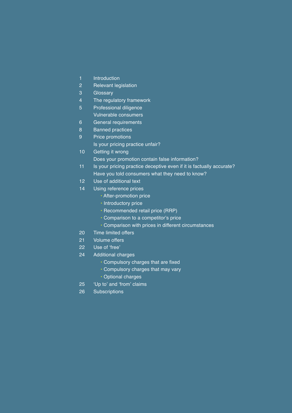- Introduction
- Relevant legislation 2
- **Glossary** 3
- The regulatory framework 4
- Professional diligence Vulnerable consumers 5
- General requirements 6
- Banned practices 8
- Price promotions 9
	- Is your pricing practice unfair?
- Getting it wrong 10
	- Does your promotion contain false information?
- Is your pricing practice deceptive even if it is factually accurate? Have you told consumers what they need to know? 11
- Use of additional text 12
- Using reference prices 14
	- After-promotion price
	- Introductory price
	- Recommended retail price (RRP)
	- Comparison to a competitor's price
	- Comparison with prices in different circumstances
- Time limited offers 20
- Volume offers 21
- Use of 'free' 22
- Additional charges 24
	- Compulsory charges that are fixed
	- Compulsory charges that may vary
	- Optional charges
- 'Up to' and 'from' claims 25
- **Subscriptions** 26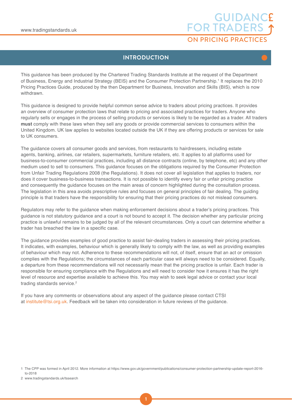# GUIDANC£ for tradErs ON PRICING PRACTIC

### **INTRODUCTION**

This guidance has been produced by the Chartered Trading Standards Institute at the request of the Department of Business, Energy and Industrial Strategy (BEIS) and the Consumer Protection Partnership.1 It replaces the 2010 Pricing Practices Guide, produced by the then Department for Business, Innovation and Skills (BIS), which is now withdrawn.

This guidance is designed to provide helpful common sense advice to traders about pricing practices. It provides an overview of consumer protection laws that relate to pricing and associated practices for traders. Anyone who regularly sells or engages in the process of selling products or services is likely to be regarded as a trader. All traders **must** comply with these laws when they sell any goods or provide commercial services to consumers within the United Kingdom. UK law applies to websites located outside the UK if they are offering products or services for sale to UK consumers.

The guidance covers all consumer goods and services, from restaurants to hairdressers, including estate agents, banking, airlines, car retailers, supermarkets, furniture retailers, etc. It applies to all platforms used for business-to-consumer commercial practices, including all distance contracts (online, by telephone, etc) and any other medium used to sell to consumers. This guidance focuses on the obligations required by the Consumer Protection from Unfair Trading Regulations 2008 (the Regulations). It does not cover all legislation that applies to traders, nor does it cover business-to-business transactions. It is not possible to identify every fair or unfair pricing practice and consequently the guidance focuses on the main areas of concern highlighted during the consultation process. The legislation in this area avoids prescriptive rules and focuses on general principles of fair dealing. The guiding principle is that traders have the responsibility for ensuring that their pricing practices do not mislead consumers.

Regulators may refer to the guidance when making enforcement decisions about a trader's pricing practices. This guidance is not statutory guidance and a court is not bound to accept it. The decision whether any particular pricing practice is unlawful remains to be judged by all of the relevant circumstances. Only a court can determine whether a trader has breached the law in a specific case.

The guidance provides examples of good practice to assist fair-dealing traders in assessing their pricing practices. It indicates, with examples, behaviour which is generally likely to comply with the law, as well as providing examples of behaviour which may not. Adherence to these recommendations will not, of itself, ensure that an act or omission complies with the Regulations; the circumstances of each particular case will always need to be considered. Equally, a departure from these recommendations will not necessarily mean that the pricing practice is unfair. Each trader is responsible for ensuring compliance with the Regulations and will need to consider how it ensures it has the right level of resource and expertise available to achieve this. You may wish to seek legal advice or contact your local trading standards service.<sup>2</sup>

If you have any comments or observations about any aspect of the guidance please contact CTSI at institute@tsi.org.uk. Feedback will be taken into consideration in future reviews of the guidance.

[2](http://www.tradingstandards.uk/tssearch) [www.tradingstandards.uk/tssearch](http://www.tradingstandards.uk/advice/businessadvicets.cfm)

<sup>1</sup> The CPP was formed in April 2012. More information at https://www.gov.uk/government/publications/consumer-protection-partnership-update-report-2016 to-2018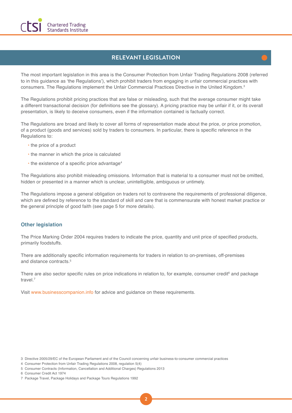

The most important legislation in this area is the Consumer Protection from Unfair Trading Regulations 2008 (referred to in this guidance as 'the Regulations'), which prohibit traders from engaging in unfair commercial practices with consumers. The Regulations implement the Unfair Commercial Practices Directive in the United Kingdom.3

The Regulations prohibit pricing practices that are false or misleading, such that the average consumer might take a different transactional decision (for definitions see the glossary). A pricing practice may be unfair if it, or its overall presentation, is likely to deceive consumers, even if the information contained is factually correct.

The Regulations are broad and likely to cover all forms of representation made about the price, or price promotion, of a product (goods and services) sold by traders to consumers. In particular, there is specific reference in the Regulations to:

- **•** the price of a product
- **•** the manner in which the price is calculated

**Chartered Trading** Standards Institute

• the existence of a specific price advantage<sup>4</sup>

The Regulations also prohibit misleading omissions. Information that is material to a consumer must not be omitted, hidden or presented in a manner which is unclear, unintelligible, ambiguous or untimely.

The Regulations impose a general obligation on traders not to contravene the requirements of professional diligence, which are defined by reference to the standard of skill and care that is commensurate with honest market practice or the general principle of good faith (see page 5 for more details).

#### **Other legislation**

The Price Marking Order 2004 requires traders to indicate the price, quantity and unit price of specified products, primarily foodstuffs.

There are additionally specific information requirements for traders in relation to on-premises, off-premises and distance contracts.5

There are also sector specific rules on price indications in relation to, for example, consumer credit<sup>6</sup> and package travel.7

Visit www.businesscompanion.info for advice and guidance on these requirements.

<sup>3</sup> Directive 2005/29/EC of the European Parliament and of the Council concerning unfair business-to-consumer commercial practices

<sup>4</sup> Consumer Protection from Unfair Trading Regulations 2008, regulation 5(4)

<sup>5</sup> Consumer Contracts (Information, Cancellation and Additional Charges) Regulations 2013

<sup>6</sup> Consumer Credit Act 1974

<sup>7</sup> Package Travel, Package Holidays and Package Tours Regulations 1992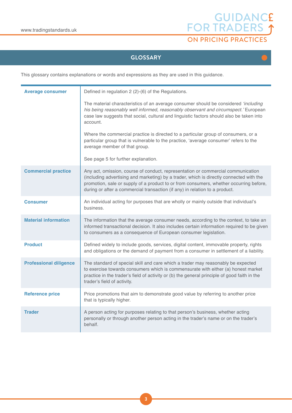# **GUIDANCE** for tradErs on pricing practices

### **glossary**

This glossary contains explanations or words and expressions as they are used in this guidance.

| <b>Average consumer</b>       | Defined in regulation 2 (2)-(6) of the Regulations.                                                                                                                                                                                                                                                                                                  |
|-------------------------------|------------------------------------------------------------------------------------------------------------------------------------------------------------------------------------------------------------------------------------------------------------------------------------------------------------------------------------------------------|
|                               | The material characteristics of an average consumer should be considered 'including<br>his being reasonably well informed, reasonably observant and circumspect.' European<br>case law suggests that social, cultural and linguistic factors should also be taken into<br>account.                                                                   |
|                               | Where the commercial practice is directed to a particular group of consumers, or a<br>particular group that is vulnerable to the practice, 'average consumer' refers to the<br>average member of that group.                                                                                                                                         |
|                               | See page 5 for further explanation.                                                                                                                                                                                                                                                                                                                  |
| <b>Commercial practice</b>    | Any act, omission, course of conduct, representation or commercial communication<br>(including advertising and marketing) by a trader, which is directly connected with the<br>promotion, sale or supply of a product to or from consumers, whether occurring before,<br>during or after a commercial transaction (if any) in relation to a product. |
| <b>Consumer</b>               | An individual acting for purposes that are wholly or mainly outside that individual's<br>business.                                                                                                                                                                                                                                                   |
| <b>Material information</b>   | The information that the average consumer needs, according to the context, to take an<br>informed transactional decision. It also includes certain information required to be given<br>to consumers as a consequence of European consumer legislation.                                                                                               |
| <b>Product</b>                | Defined widely to include goods, services, digital content, immovable property, rights<br>and obligations or the demand of payment from a consumer in settlement of a liability.                                                                                                                                                                     |
| <b>Professional diligence</b> | The standard of special skill and care which a trader may reasonably be expected<br>to exercise towards consumers which is commensurate with either (a) honest market<br>practice in the trader's field of activity or (b) the general principle of good faith in the<br>trader's field of activity.                                                 |
| <b>Reference price</b>        | Price promotions that aim to demonstrate good value by referring to another price<br>that is typically higher.                                                                                                                                                                                                                                       |
| <b>Trader</b>                 | A person acting for purposes relating to that person's business, whether acting<br>personally or through another person acting in the trader's name or on the trader's<br>behalf.                                                                                                                                                                    |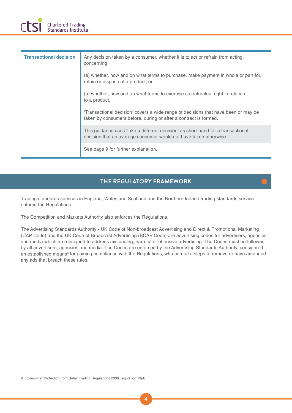| <b>Transactional decision</b> | Any decision taken by a consumer, whether it is to act or refrain from acting,<br>concerning:                                                          |
|-------------------------------|--------------------------------------------------------------------------------------------------------------------------------------------------------|
|                               | (a) whether, how and on what terms to purchase, make payment in whole or part for,<br>retain or dispose of a product; or                               |
|                               | (b) whether, how and on what terms to exercise a contractual right in relation<br>to a product.                                                        |
|                               | 'Transactional decision' covers a wide range of decisions that have been or may be<br>taken by consumers before, during or after a contract is formed. |
|                               | This guidance uses 'take a different decision' as short-hand for a transactional<br>decision that an average consumer would not have taken otherwise.  |
|                               | See page 9 for further explanation.                                                                                                                    |

### **The regulatory framework**

Trading standards services in England, Wales and Scotland and the Northern Ireland trading standards service enforce the Regulations.

The Competition and Markets Authority also enforces the Regulations.

The Advertising Standards Authority - UK Code of Non-broadcast Advertising and Direct & Promotional Marketing (CAP Code) and the UK Code of Broadcast Advertising (BCAP Code) are advertising codes for advertisers, agencies and media which are designed to address misleading, harmful or offensive advertising. The Codes must be followed by all advertisers, agencies and media. The Codes are enforced by the Advertising Standards Authority, considered an established means<sup>8</sup> for gaining compliance with the Regulations, who can take steps to remove or have amended any ads that breach these rules.

8 Consumer Protection from Unfair Trading Regulations 2008, regulation 19(4)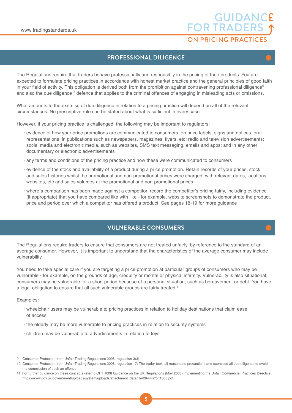# **GUIDAN FOR TRADERS**

## ON PRICING PRACTIC

#### **professional diligence**

The Regulations require that traders behave professionally and responsibly in the pricing of their products. You are expected to formulate pricing practices in accordance with honest market practice and the general principles of good faith in your field of activity. This obligation is derived both from the prohibition against contravening professional diligence<sup>9</sup> and also the due diligence<sup>10</sup> defence that applies to the criminal offences of engaging in misleading acts or omissions.

What amounts to the exercise of due diligence in relation to a pricing practice will depend on all of the relevant circumstances. No prescriptive rule can be stated about what is sufficient in every case.

However, if your pricing practice is challenged, the following may be important to regulators:

- **•** evidence of how your price promotions are communicated to consumers: on price labels, signs and notices; oral representations; in publications such as newspapers, magazines, flyers, etc; radio and television advertisements; social media and electronic media, such as websites, SMS text messaging, emails and apps; and in any other documentary or electronic advertisements
- **•** any terms and conditions of the pricing practice and how these were communicated to consumers
- **•** evidence of the stock and availability of a product during a price promotion. Retain records of your prices, stock and sales histories whilst the promotional and non-promotional prices were charged, with relevant dates, locations, websites, etc and sales volumes at the promotional and non-promotional prices
- **•** where a comparison has been made against a competitor, record the competitor's pricing fairly, including evidence (if appropriate) that you have compared like with like - for example, website screenshots to demonstrate the product, price and period over which a competitor has offered a product. See pages 18-19 for more guidance

#### **Vulnerable Consumers**

The Regulations require traders to ensure that consumers are not treated unfairly, by reference to the standard of an average consumer. However, it is important to understand that the characteristics of the average consumer may include vulnerability.

You need to take special care if you are targeting a price promotion at particular groups of consumers who may be vulnerable - for example, on the grounds of age, credulity or mental or physical infirmity. Vulnerability is also situational; consumers may be vulnerable for a short period because of a personal situation, such as bereavement or debt. You have a legal obligation to ensure that all such vulnerable groups are fairly treated.<sup>11</sup>

Examples:

- **•** wheelchair users may be vulnerable to pricing practices in relation to holiday destinations that claim ease of access
- **•** the elderly may be more vulnerable to pricing practices in relation to security systems
- **•** children may be vulnerable to advertisements in relation to toys

- 10 Consumer Protection from Unfair Trading Regulations 2008, regulation 17: The trader took 'all reasonable precautions and exercised all due diligence to avoid the commission of such an offence'
- 11 For further guidance on these concepts refer to OFT 1008 Guidance on the UK Regulations (May 2008) implementing the Unfair Commercial Practices Directive https://www.gov.uk/government/uploads/system/uploads/attachment\_data/file/284442/oft1008.pdf

<sup>9</sup> Consumer Protection from Unfair Trading Regulations 2008, regulation 3(3)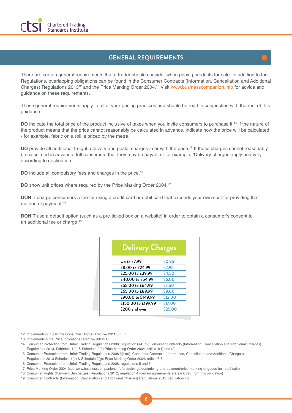

#### **General Requirements**

There are certain general requirements that a trader should consider when pricing products for sale. In addition to the Regulations, overlapping obligations can be found in the Consumer Contracts (Information, Cancellation and Additional Charges) Regulations 201312 and the Price Marking Order 2004.13 Visit www.businesscompanion.info for advice and guidance on these requirements.

These general requirements apply to all of your pricing practices and should be read in conjunction with the rest of this guidance.

**DO** indicate the total price of the product inclusive of taxes when you invite consumers to purchase it.<sup>14</sup> If the nature of the product means that the price cannot reasonably be calculated in advance, indicate how the price will be calculated - for example, fabric on a roll is priced by the metre.

**DO** provide all additional freight, delivery and postal charges in or with the price.<sup>15</sup> If those charges cannot reasonably be calculated in advance, tell consumers that they may be payable - for example, 'Delivery charges apply and vary according to destination'.

**DO** include all compulsory fees and charges in the price.<sup>16</sup>

**DO** show unit prices where required by the Price Marking Order 2004.<sup>17</sup>

**DON'T** charge consumers a fee for using a credit card or debit card that exceeds your own cost for providing that method of payment.<sup>18</sup>

**DON'T** use a default option (such as a pre-ticked box on a website) in order to obtain a consumer's consent to an additional fee or charge.<sup>19</sup>

| <b>Delivery Charges</b> |        |  |
|-------------------------|--------|--|
| Up to £7.99             | £0.95  |  |
| £8.00 to £24.99         | £2.95  |  |
| £25.00 to £39.99        | £4.50  |  |
| £40.00 to £54.99        | £6.00  |  |
| £55.00 to £64.99        | £7.50  |  |
| £65.00 to £89.99        | £9.00  |  |
| £90.00 to £149.99       | £12.00 |  |
| £150.00 to £199.99      | £17.00 |  |
| £200 and over           | £25.00 |  |

12 Implementing in part the Consumer Rights Directive 2011/83/EC

- 13 Implementing the Price Indications Directive 98/6/EC
- 14 Consumer Protection from Unfair Trading Regulations 2008, regulation 6(4)(d); Consumer Contracts (Information, Cancellation and Additional Charges) Regulations 2013, Schedule 1(c) & Schedule 2(f); Price Marking Order 2004, article 4(1) and (2)
- 15 Consumer Protection from Unfair Trading Regulations 2008 6(4)(e); Consumer Contracts (Information, Cancellation and Additional Charges) Regulations 2013 Schedule 1(d) & Schedule 2(g); Price Marking Order 2004, article 7(3)
- 16 Consumer Protection from Unfair Trading Regulations 2008, regulations 5 and 6
- 17 Price Marking Order 2004 (see www.businesscompanion.info/en/quick-guides/pricing-and-payment/price-marking-of-goods-for-retail-sale)
- 18 Consumer Rights (Payment Surcharges) Regulations 2012, regulation 4 (certain agreements are excluded from this obligation)
- 19 Consumer Contracts (Information, Cancellation and Additional Charges) Regulations 2013, regulation 40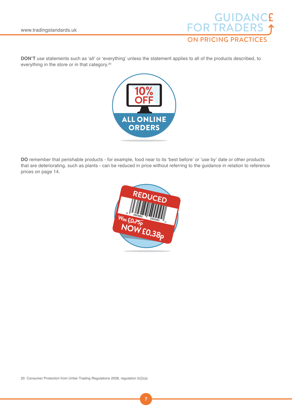# **GUIDANCE** for tradErs ON PRICING PRACTI

**DON'T** use statements such as 'all' or 'everything' unless the statement applies to all of the products described, to everything in the store or in that category.20



**DO** remember that perishable products - for example, food near to its 'best before' or 'use by' date or other products that are deteriorating, such as plants - can be reduced in price without referring to the guidance in relation to reference prices on page 14.



20 Consumer Protection from Unfair Trading Regulations 2008, regulation 5(2)(a)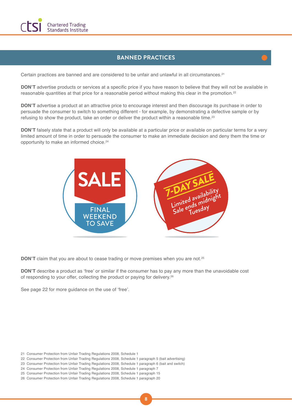

### **Banned Practices**

Certain practices are banned and are considered to be unfair and unlawful in all circumstances.<sup>21</sup>

**DON'T** advertise products or services at a specific price if you have reason to believe that they will not be available in reasonable quantities at that price for a reasonable period without making this clear in the promotion.<sup>22</sup>

**DON'T** advertise a product at an attractive price to encourage interest and then discourage its purchase in order to persuade the consumer to switch to something different - for example, by demonstrating a defective sample or by refusing to show the product, take an order or deliver the product within a reasonable time.<sup>23</sup>

**DON'T** falsely state that a product will only be available at a particular price or available on particular terms for a very limited amount of time in order to persuade the consumer to make an immediate decision and deny them the time or opportunity to make an informed choice.<sup>24</sup>



**DON'T** claim that you are about to cease trading or move premises when you are not.<sup>25</sup>

**DON'T** describe a product as 'free' or similar if the consumer has to pay any more than the unavoidable cost of responding to your offer, collecting the product or paying for delivery.<sup>26</sup>

See page 22 for more guidance on the use of 'free'.

<sup>21</sup> Consumer Protection from Unfair Trading Regulations 2008, Schedule 1

<sup>22</sup> Consumer Protection from Unfair Trading Regulations 2008, Schedule 1 paragraph 5 (bait advertising)

<sup>23</sup> Consumer Protection from Unfair Trading Regulations 2008, Schedule 1 paragraph 6 (bait and switch)

<sup>24</sup> Consumer Protection from Unfair Trading Regulations 2008, Schedule 1 paragraph 7

<sup>25</sup> Consumer Protection from Unfair Trading Regulations 2008, Schedule 1 paragraph 15

<sup>26</sup> Consumer Protection from Unfair Trading Regulations 2008, Schedule 1 paragraph 20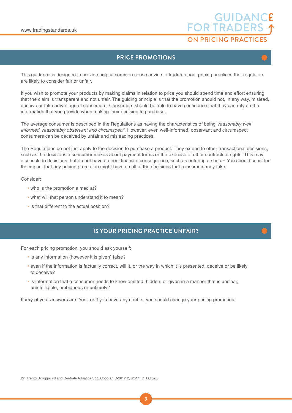# GUIDANC£ **FOR TRADER** ON PRICING PRAC

### **Price Promotions**

This guidance is designed to provide helpful common sense advice to traders about pricing practices that regulators are likely to consider fair or unfair.

If you wish to promote your products by making claims in relation to price you should spend time and effort ensuring that the claim is transparent and not unfair. The guiding principle is that the promotion should not, in any way, mislead, deceive or take advantage of consumers. Consumers should be able to have confidence that they can rely on the information that you provide when making their decision to purchase.

The average consumer is described in the Regulations as having the characteristics of being *'reasonably well informed, reasonably observant and circumspect'*. However, even well-informed, observant and circumspect consumers can be deceived by unfair and misleading practices.

The Regulations do not just apply to the decision to purchase a product. They extend to other transactional decisions, such as the decisions a consumer makes about payment terms or the exercise of other contractual rights. This may also include decisions that do not have a direct financial consequence, such as entering a shop.<sup>27</sup> You should consider the impact that any pricing promotion might have on all of the decisions that consumers may take.

Consider:

- **•** who is the promotion aimed at?
- **•** what will that person understand it to mean?
- **•** is that different to the actual position?

### **Is your pricing practice unfair?**

For each pricing promotion, you should ask yourself:

- **•** is any information (however it is given) false?
- **•** even if the information is factually correct, will it, or the way in which it is presented, deceive or be likely to deceive?
- **•** is information that a consumer needs to know omitted, hidden, or given in a manner that is unclear, unintelligible, ambiguous or untimely?

If **any** of your answers are 'Yes', or if you have any doubts, you should change your pricing promotion.

27 Trento Sviluppo srl and Centrale Adriatica Soc. Coop arl C-281/12, [2014] CTLC 326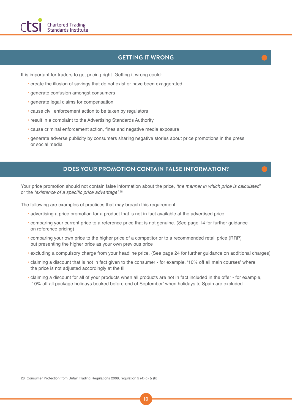

#### **Getting it wrong**

It is important for traders to get pricing right. Getting it wrong could:

- **•** create the illusion of savings that do not exist or have been exaggerated
- **•** generate confusion amongst consumers
- **•** generate legal claims for compensation
- **•** cause civil enforcement action to be taken by regulators
- **•** result in a complaint to the Advertising Standards Authority
- **•** cause criminal enforcement action, fines and negative media exposure
- **•** generate adverse publicity by consumers sharing negative stories about price promotions in the press or social media

#### **Does your promotion contain false information?**

Your price promotion should not contain false information about the price, *'the manner in which price is calculated'* or the 'existence of a specific price advantage'.<sup>28</sup>

The following are examples of practices that may breach this requirement:

- **•** advertising a price promotion for a product that is not in fact available at the advertised price
- **•** comparing your current price to a reference price that is not genuine. (See page 14 for further guidance on reference pricing)
- **•** comparing your own price to the higher price of a competitor or to a recommended retail price (RRP) but presenting the higher price as your own previous price
- **•** excluding a compulsory charge from your headline price. (See page 24 for further guidance on additional charges)
- **•** claiming a discount that is not in fact given to the consumer for example, '10% off all main courses' where the price is not adjusted accordingly at the till
- **•** claiming a discount for all of your products when all products are not in fact included in the offer for example, '10% off all package holidays booked before end of September' when holidays to Spain are excluded

28 Consumer Protection from Unfair Trading Regulations 2008, regulation 5 (4)(g) & (h)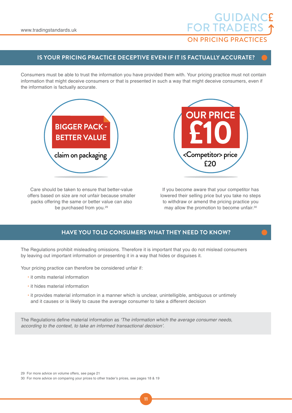# GUIDANC£ **FOR TRADE** ON PRICING PRAC

### **Is your pricing practice deceptive even if it is factually accurate?**

Consumers must be able to trust the information you have provided them with. Your pricing practice must not contain information that might deceive consumers or that is presented in such a way that might deceive consumers, even if the information is factually accurate.



Care should be taken to ensure that better-value offers based on size are not unfair because smaller packs offering the same or better value can also be purchased from you.<sup>29</sup>



If you become aware that your competitor has lowered their selling price but you take no steps to withdraw or amend the pricing practice you may allow the promotion to become unfair.30

#### **Have you told consumers what they need to know?**

The Regulations prohibit misleading omissions. Therefore it is important that you do not mislead consumers by leaving out important information or presenting it in a way that hides or disguises it.

Your pricing practice can therefore be considered unfair if:

- **•** it omits material information
- **•** it hides material information
- **•** it provides material information in a manner which is unclear, unintelligible, ambiguous or untimely and it causes or is likely to cause the average consumer to take a different decision

The Regulations define material information as *'The information which the average consumer needs, according to the context, to take an informed transactional decision'*.

29 For more advice on volume offers, see page 21

<sup>30</sup> For more advice on comparing your prices to other trader's prices, see pages 18 & 19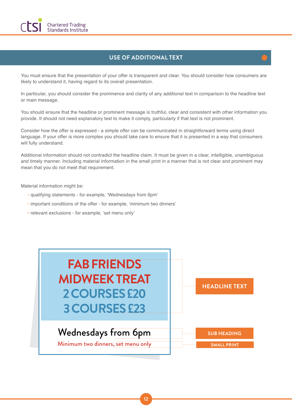

### **Use of additional text**

You must ensure that the presentation of your offer is transparent and clear. You should consider how consumers are likely to understand it, having regard to its overall presentation.

In particular, you should consider the prominence and clarity of any additional text in comparison to the headline text or main message.

You should ensure that the headline or prominent message is truthful, clear and consistent with other information you provide. It should not need explanatory text to make it comply, particularly if that text is not prominent.

Consider how the offer is expressed - a simple offer can be communicated in straightforward terms using direct language. If your offer is more complex you should take care to ensure that it is presented in a way that consumers will fully understand.

Additional information should not contradict the headline claim. It must be given in a clear, intelligible, unambiguous and timely manner. Including material information in the small print in a manner that is not clear and prominent may mean that you do not meet that requirement.

Material information might be:

- **•** qualifying statements for example, 'Wednesdays from 6pm'
- **•** important conditions of the offer for example, 'minimum two dinners'
- **•** relevant exclusions for example, 'set menu only'

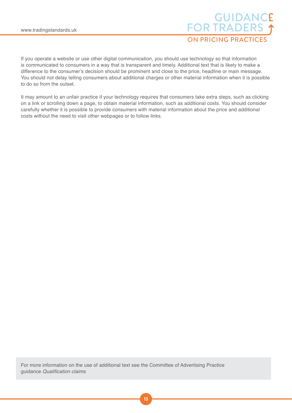If you operate a website or use other digital communication, you should use technology so that information is communicated to consumers in a way that is transparent and timely. Additional text that is likely to make a difference to the consumer's decision should be prominent and close to the price, headline or main message. You should not delay telling consumers about additional charges or other material information when it is possible to do so from the outset.

It may amount to an unfair practice if your technology requires that consumers take extra steps, such as clicking on a link or scrolling down a page, to obtain material information, such as additional costs. You should consider carefully whether it is possible to provide consumers with material information about the price and additional costs without the need to visit other webpages or to follow links.

[For more information on the use of additional text see the Committee of Advertising Practice](https://www.cap.org.uk/Advice-Training-on-the-rules/Help-Notes/Qualification)  guidance [Qualification claim](https://www.cap.org.uk/Advice-Training-on-the-rules/Help-Notes/Qualification)*s*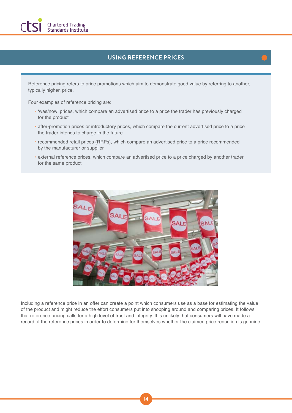

### **Using reference prices**

Reference pricing refers to price promotions which aim to demonstrate good value by referring to another, typically higher, price.

Four examples of reference pricing are:

- **•** 'was/now' prices, which compare an advertised price to a price the trader has previously charged for the product
- **•** after-promotion prices or introductory prices, which compare the current advertised price to a price the trader intends to charge in the future
- **•** recommended retail prices (RRPs), which compare an advertised price to a price recommended by the manufacturer or supplier
- **•** external reference prices, which compare an advertised price to a price charged by another trader for the same product



Including a reference price in an offer can create a point which consumers use as a base for estimating the value of the product and might reduce the effort consumers put into shopping around and comparing prices. It follows that reference pricing calls for a high level of trust and integrity. It is unlikely that consumers will have made a record of the reference prices in order to determine for themselves whether the claimed price reduction is genuine.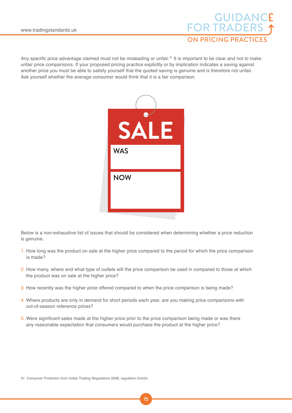# JIDANG **OR TRADE** ON PRICING PRA

Any specific price advantage claimed must not be misleading or unfair.<sup>31</sup> It is important to be clear and not to make unfair price comparisons. If your proposed pricing practice explicitly or by implication indicates a saving against another price you must be able to satisfy yourself that the quoted saving is genuine and is therefore not unfair. Ask yourself whether the average consumer would think that it is a fair comparison.



Below is a non-exhaustive list of issues that should be considered when determining whether a price reduction is genuine.

- 1. How long was the product on sale at the higher price compared to the period for which the price comparison is made?
- 2. How many, where and what type of outlets will the price comparison be used in compared to those at which the product was on sale at the higher price?
- 3. How recently was the higher price offered compared to when the price comparison is being made?
- 4. Where products are only in demand for short periods each year, are you making price comparisons with out-of-season reference prices?
- 5. Were significant sales made at the higher price prior to the price comparison being made or was there any reasonable expectation that consumers would purchase the product at the higher price?

31 Consumer Protection from Unfair Trading Regulations 2008, regulation 5(4)(h)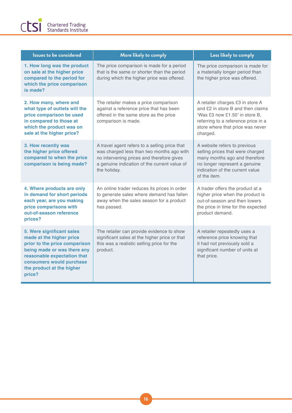

| Issues to be considered                                                                                                                                                                                                 | More likely to comply                                                                                                                                                                                   | Less likely to comply                                                                                                                                                                          |
|-------------------------------------------------------------------------------------------------------------------------------------------------------------------------------------------------------------------------|---------------------------------------------------------------------------------------------------------------------------------------------------------------------------------------------------------|------------------------------------------------------------------------------------------------------------------------------------------------------------------------------------------------|
| 1. How long was the product<br>on sale at the higher price<br>compared to the period for<br>which the price comparison<br>is made?                                                                                      | The price comparison is made for a period<br>that is the same or shorter than the period<br>during which the higher price was offered.                                                                  | The price comparison is made for<br>a materially longer period than<br>the higher price was offered.                                                                                           |
| 2. How many, where and<br>what type of outlets will the<br>price comparison be used<br>in compared to those at<br>which the product was on<br>sale at the higher price?                                                 | The retailer makes a price comparison<br>against a reference price that has been<br>offered in the same store as the price<br>comparison is made.                                                       | A retailer charges £3 in store A<br>and £2 in store B and then claims<br>'Was £3 now £1.50' in store B,<br>referring to a reference price in a<br>store where that price was never<br>charged. |
| 3. How recently was<br>the higher price offered<br>compared to when the price<br>comparison is being made?                                                                                                              | A travel agent refers to a selling price that<br>was charged less than two months ago with<br>no intervening prices and therefore gives<br>a genuine indication of the current value of<br>the holiday. | A website refers to previous<br>selling prices that were charged<br>many months ago and therefore<br>no longer represent a genuine<br>indication of the current value<br>of the item.          |
| 4. Where products are only<br>in demand for short periods<br>each year, are you making<br>price comparisons with<br>out-of-season reference<br>prices?                                                                  | An online trader reduces its prices in order<br>to generate sales where demand has fallen<br>away when the sales season for a product<br>has passed.                                                    | A trader offers the product at a<br>higher price when the product is<br>out-of-season and then lowers<br>the price in time for the expected<br>product demand.                                 |
| 5. Were significant sales<br>made at the higher price<br>prior to the price comparison<br>being made or was there any<br>reasonable expectation that<br>consumers would purchase<br>the product at the higher<br>price? | The retailer can provide evidence to show<br>significant sales at the higher price or that<br>this was a realistic selling price for the<br>product.                                                    | A retailer repeatedly uses a<br>reference price knowing that<br>it had not previously sold a<br>significant number of units at<br>that price.                                                  |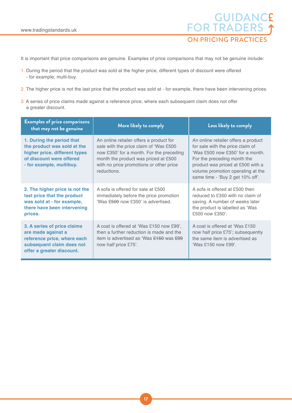# **GUIDANCE** for tradErs on pricing practices

It is important that price comparisons are genuine. Examples of price comparisons that may not be genuine include:

- 1. During the period that the product was sold at the higher price, different types of discount were offered - for example, multi-buy.
- 2. The higher price is not the last price that the product was sold at for example, there have been intervening prices.
- 3. A series of price claims made against a reference price, where each subsequent claim does not offer a greater discount.

| <b>Examples of price comparisons</b><br>that may not be genuine                                                                                   | More likely to comply                                                                                                                                                                                                           | Less likely to comply                                                                                                                                                                                                                                    |
|---------------------------------------------------------------------------------------------------------------------------------------------------|---------------------------------------------------------------------------------------------------------------------------------------------------------------------------------------------------------------------------------|----------------------------------------------------------------------------------------------------------------------------------------------------------------------------------------------------------------------------------------------------------|
| 1. During the period that<br>the product was sold at the<br>higher price, different types<br>of discount were offered<br>- for example, multibuy. | An online retailer offers a product for<br>sale with the price claim of 'Was £500<br>now £350' for a month. For the preceding<br>month the product was priced at £500<br>with no price promotions or other price<br>reductions. | An online retailer offers a product<br>for sale with the price claim of<br>'Was £500 now £350' for a month.<br>For the preceding month the<br>product was priced at £500 with a<br>volume promotion operating at the<br>same time - 'Buy 2 get 10% off'. |
| 2. The higher price is not the<br>last price that the product<br>was sold at - for example,<br>there have been intervening<br>prices.             | A sofa is offered for sale at £500<br>immediately before the price promotion<br>'Was £500 now £350' is advertised.                                                                                                              | A sofa is offered at £500 then<br>reduced to £350 with no claim of<br>saving. A number of weeks later<br>the product is labelled as 'Was<br>£500 now £350'.                                                                                              |
| 3. A series of price claims<br>are made against a<br>reference price, where each<br>subsequent claim does not<br>offer a greater discount.        | A coat is offered at 'Was £150 now £99',<br>then a further reduction is made and the<br>item is advertised as 'Was £150 was £99<br>now half price £75'.                                                                         | A coat is offered at 'Was £150<br>now half price £75'; subsequently<br>the same item is advertised as<br>'Was £150 now £99'.                                                                                                                             |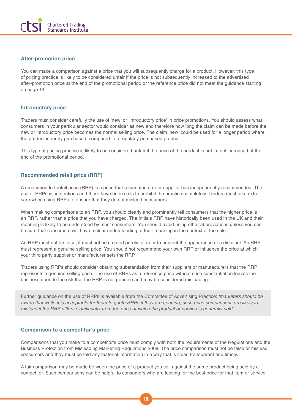

#### **After-promotion price**

You can make a comparison against a price that you will subsequently charge for a product. However, this type of pricing practice is likely to be considered unfair if the price is not subsequently increased to the advertised after-promotion price at the end of the promotional period or the reference price did not meet the guidance starting on page 14.

#### **Introductory price**

Traders must consider carefully the use of 'new' or 'introductory price' in price promotions. You should assess what consumers in your particular sector would consider as new and therefore how long the claim can be made before the new or introductory price becomes the normal selling price. The claim 'new' could be used for a longer period where the product is rarely purchased, compared to a regularly purchased product.

This type of pricing practice is likely to be considered unfair if the price of the product is not in fact increased at the end of the promotional period.

#### **Recommended retail price (RRP)**

A recommended retail price (RRP) is a price that a manufacturer or supplier has independently recommended. The use of RRPs is contentious and there have been calls to prohibit the practice completely. Traders must take extra care when using RRPs to ensure that they do not mislead consumers.

When making comparisons to an RRP, you should clearly and prominently tell consumers that the higher price is an RRP, rather than a price that you have charged. The initials RRP have historically been used in the UK and their meaning is likely to be understood by most consumers. You should avoid using other abbreviations unless you can be sure that consumers will have a clear understanding of their meaning in the context of the sale.

An RRP must not be false; it must not be created purely in order to present the appearance of a discount. An RRP must represent a genuine selling price. You should not recommend your own RRP or influence the price at which your third party supplier or manufacturer sets the RRP.

Traders using RRPs should consider obtaining substantiation from their suppliers or manufacturers that the RRP represents a genuine selling price. The use of RRPs as a reference price without such substantiation leaves the business open to the risk that the RRP is not genuine and may be considered misleading.

Further guidance on the use of RRPs is available from the Committee of Advertising Practice: *'marketers should be [aware that while it is acceptable for them to quote RRPs if they are genuine, such price comparisons are likely to](https://www.cap.org.uk/Advice-Training-on-the-rules/Advice-Online-Database/Recommended-Retail-Prices.aspx#.WEFfGH0aySV)*  mislead if the RRP differs significantly from the price at which the product or service is generally sold.'

#### **Comparison to a competitor's price**

Comparisons that you make to a competitor's price must comply with both the requirements of the Regulations and the Business Protection from Misleading Marketing Regulations 2008. The price comparison must not be false or mislead consumers and they must be told any material information in a way that is clear, transparent and timely.

A fair comparison may be made between the price of a product you sell against the same product being sold by a competitor. Such comparisons can be helpful to consumers who are looking for the best price for that item or service.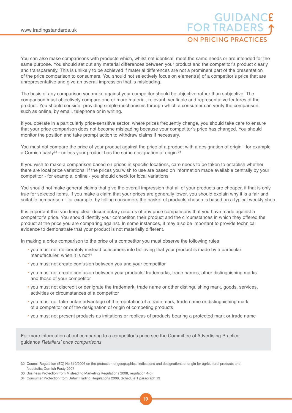# GUIDANG **FOR TRADER** ON PRICING PRAC

You can also make comparisons with products which, whilst not identical, meet the same needs or are intended for the same purpose. You should set out any material differences between your product and the competitor's product clearly and transparently. This is unlikely to be achieved if material differences are not a prominent part of the presentation of the price comparison to consumers. You should not selectively focus on element(s) of a competitor's price that are unrepresentative and give an overall impression that is misleading.

The basis of any comparison you make against your competitor should be objective rather than subjective. The comparison must objectively compare one or more material, relevant, verifiable and representative features of the product. You should consider providing simple mechanisms through which a consumer can verify the comparison, such as online, by email, telephone or in writing.

If you operate in a particularly price-sensitive sector, where prices frequently change, you should take care to ensure that your price comparison does not become misleading because your competitor's price has changed. You should monitor the position and take prompt action to withdraw claims if necessary.

You must not compare the price of your product against the price of a product with a designation of origin - for example a Cornish pasty<sup>32</sup> - unless your product has the same designation of origin.<sup>33</sup>

If you wish to make a comparison based on prices in specific locations, care needs to be taken to establish whether there are local price variations. If the prices you wish to use are based on information made available centrally by your competitor - for example, online - you should check for local variations.

You should not make general claims that give the overall impression that all of your products are cheaper, if that is only true for selected items. If you make a claim that your prices are generally lower, you should explain why it is a fair and suitable comparison - for example, by telling consumers the basket of products chosen is based on a typical weekly shop.

It is important that you keep clear documentary records of any price comparisons that you have made against a competitor's price. You should identify your competitor, their product and the circumstances in which they offered the product at the price you are comparing against. In some instances, it may also be important to provide technical evidence to demonstrate that your product is not materially different.

In making a price comparison to the price of a competitor you must observe the following rules:

- **•** you must not deliberately mislead consumers into believing that your product is made by a particular manufacturer, when it is not $34$
- **•** you must not create confusion between you and your competitor
- **•** you must not create confusion between your products' trademarks, trade names, other distinguishing marks and those of your competitor
- **•** you must not discredit or denigrate the trademark, trade name or other distinguishing mark, goods, services, activities or circumstances of a competitor
- **•** you must not take unfair advantage of the reputation of a trade mark, trade name or distinguishing mark of a competitor or of the designation of origin of competing products
- **•** you must not present products as imitations or replicas of products bearing a protected mark or trade name

[For more information about comparing to a competitor's price see the Committee of Advertising Practice](https://www.cap.org.uk/Advice-Training-on-the-rules/Help-Notes/Qualification)  guidance *[Retailers' price comparisons](https://www.cap.org.uk/Advice-Training-on-the-rules/Help-Notes/Retailers-Price-Comparisons)*

33 Business Protection from Misleading Marketing Regulations 2008, regulation 4(g)

<sup>32</sup> Council Regulation (EC) No 510/2006 on the protection of geographical indications and designations of origin for agricultural products and foodstuffs: Cornish Pasty 2007

<sup>34</sup> Consumer Protection from Unfair Trading Regulations 2008, Schedule 1 paragraph 13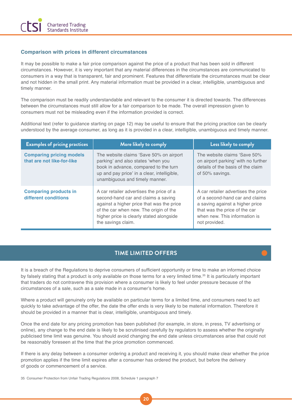#### **Comparison with prices in different circumstances**

It may be possible to make a fair price comparison against the price of a product that has been sold in different circumstances. However, it is very important that any material differences in the circumstances are communicated to consumers in a way that is transparent, fair and prominent. Features that differentiate the circumstances must be clear and not hidden in the small print. Any material information must be provided in a clear, intelligible, unambiguous and timely manner.

The comparison must be readily understandable and relevant to the consumer it is directed towards. The differences between the circumstances must still allow for a fair comparison to be made. The overall impression given to consumers must not be misleading even if the information provided is correct.

Additional text (refer to guidance starting on page 12) may be useful to ensure that the pricing practice can be clearly understood by the average consumer, as long as it is provided in a clear, intelligible, unambiguous and timely manner.

| <b>Examples of pricing practices</b>                          | More likely to comply                                                                                                                                                                                                                    | Less likely to comply                                                                                                                                                                        |
|---------------------------------------------------------------|------------------------------------------------------------------------------------------------------------------------------------------------------------------------------------------------------------------------------------------|----------------------------------------------------------------------------------------------------------------------------------------------------------------------------------------------|
| <b>Comparing pricing models</b><br>that are not like-for-like | The website claims 'Save 50% on airport<br>parking' and also states 'when you<br>book in advance, compared to the turn<br>up and pay price' in a clear, intelligible,<br>unambiguous and timely manner.                                  | The website claims 'Save 50%<br>on airport parking' with no further<br>details of the basis of the claim<br>of 50% savings.                                                                  |
| <b>Comparing products in</b><br>different conditions          | A car retailer advertises the price of a<br>second-hand car and claims a saving<br>against a higher price that was the price<br>of the car when new. The origin of the<br>higher price is clearly stated alongside<br>the savings claim. | A car retailer advertises the price<br>of a second-hand car and claims<br>a saving against a higher price<br>that was the price of the car<br>when new. This information is<br>not provided. |

#### **Time Limited Offers**

It is a breach of the Regulations to deprive consumers of sufficient opportunity or time to make an informed choice by falsely stating that a product is only available on those terms for a very limited time.<sup>35</sup> It is particularly important that traders do not contravene this provision where a consumer is likely to feel under pressure because of the circumstances of a sale, such as a sale made in a consumer's home.

Where a product will genuinely only be available on particular terms for a limited time, and consumers need to act quickly to take advantage of the offer, the date the offer ends is very likely to be material information. Therefore it should be provided in a manner that is clear, intelligible, unambiguous and timely.

Once the end date for any pricing promotion has been published (for example, in store, in press, TV advertising or online), any change to the end date is likely to be scrutinised carefully by regulators to assess whether the originally publicised time limit was genuine. You should avoid changing the end date unless circumstances arise that could not be reasonably foreseen at the time that the price promotion commenced.

If there is any delay between a consumer ordering a product and receiving it, you should make clear whether the price promotion applies if the time limit expires after a consumer has ordered the product, but before the delivery of goods or commencement of a service.

35 Consumer Protection from Unfair Trading Regulations 2008, Schedule 1 paragraph 7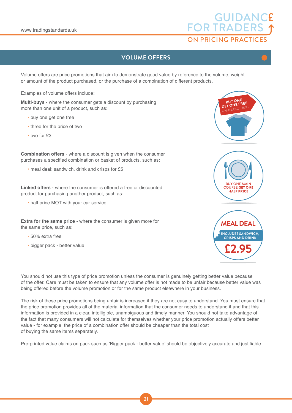### **Volume Offers**

Volume offers are price promotions that aim to demonstrate good value by reference to the volume, weight or amount of the product purchased, or the purchase of a combination of different products.

Examples of volume offers include:

**Multi-buys** - where the consumer gets a discount by purchasing more than one unit of a product, such as:

- **•** buy one get one free
- **•** three for the price of two
- **•** two for £3

**Combination offers** - where a discount is given when the consumer purchases a specified combination or basket of products, such as:

**•** meal deal: sandwich, drink and crisps for £5

**Linked offers** - where the consumer is offered a free or discounted product for purchasing another product, such as:

**•** half price MOT with your car service

**Extra for the same price** - where the consumer is given more for the same price, such as:

- **•** 50% extra free
- **•** bigger pack better value



**BUY ONE MAIN** course get one half price

**GUIDANCE** 

for tradErs

ON PRICING PRACTIC



You should not use this type of price promotion unless the consumer is genuinely getting better value because of the offer. Care must be taken to ensure that any volume offer is not made to be unfair because better value was being offered before the volume promotion or for the same product elsewhere in your business.

The risk of these price promotions being unfair is increased if they are not easy to understand. You must ensure that the price promotion provides all of the material information that the consumer needs to understand it and that this information is provided in a clear, intelligible, unambiguous and timely manner. You should not take advantage of the fact that many consumers will not calculate for themselves whether your price promotion actually offers better value - for example, the price of a combination offer should be cheaper than the total cost of buying the same items separately.

Pre-printed value claims on pack such as 'Bigger pack - better value' should be objectively accurate and justifiable.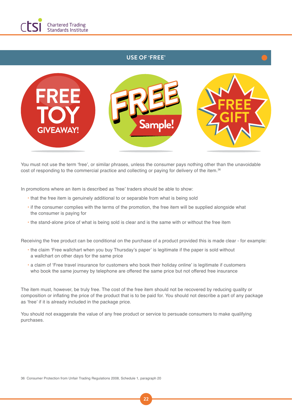

#### **Use of 'Free'**



You must not use the term 'free', or similar phrases, unless the consumer pays nothing other than the unavoidable cost of responding to the commercial practice and collecting or paying for delivery of the item.36

In promotions where an item is described as 'free' traders should be able to show:

- **•** that the free item is genuinely additional to or separable from what is being sold
- if the consumer complies with the terms of the promotion, the free item will be supplied alongside what the consumer is paying for
- **•** the stand-alone price of what is being sold is clear and is the same with or without the free item

Receiving the free product can be conditional on the purchase of a product provided this is made clear - for example:

- **•** the claim 'Free wallchart when you buy Thursday's paper' is legitimate if the paper is sold without a wallchart on other days for the same price
- **•** a claim of 'Free travel insurance for customers who book their holiday online' is legitimate if customers who book the same journey by telephone are offered the same price but not offered free insurance

The item must, however, be truly free. The cost of the free item should not be recovered by reducing quality or composition or inflating the price of the product that is to be paid for. You should not describe a part of any package as 'free' if it is already included in the package price.

You should not exaggerate the value of any free product or service to persuade consumers to make qualifying purchases.

36 Consumer Protection from Unfair Trading Regulations 2008, Schedule 1, paragraph 20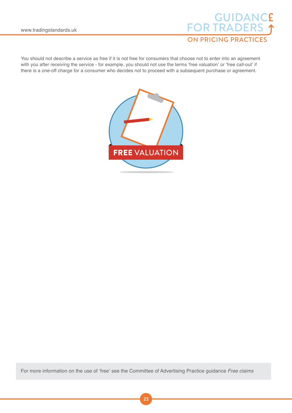# GUIDANC£ for tradErs on pricing practices

You should not describe a service as free if it is not free for consumers that choose not to enter into an agreement with you after receiving the service - for example, you should not use the terms 'free valuation' or 'free call-out' if there is a one-off charge for a consumer who decides not to proceed with a subsequent purchase or agreement.



[For more information on the use of 'free' see the Committee of Advertising Practice guidance](https://www.cap.org.uk/~/media/Files/CAP/Help%20notes%20new/Guidance_use_of_free.ashx) *Free claims*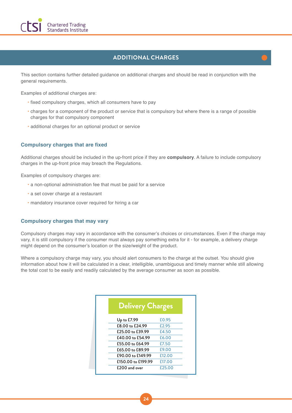

#### **Additional charges**

This section contains further detailed guidance on additional charges and should be read in conjunction with the general requirements.

Examples of additional charges are:

- **•** fixed compulsory charges, which all consumers have to pay
- **•** charges for a component of the product or service that is compulsory but where there is a range of possible charges for that compulsory component
- **•** additional charges for an optional product or service

#### **Compulsory charges that are fixed**

Additional charges should be included in the up-front price if they are **compulsory**. A failure to include compulsory charges in the up-front price may breach the Regulations.

Examples of compulsory charges are:

- **•** a non-optional administration fee that must be paid for a service
- **•** a set cover charge at a restaurant
- **•** mandatory insurance cover required for hiring a car

#### **Compulsory charges that may vary**

Compulsory charges may vary in accordance with the consumer's choices or circumstances. Even if the charge may vary, it is still compulsory if the consumer must always pay something extra for it - for example, a delivery charge might depend on the consumer's location or the size/weight of the product.

Where a compulsory charge may vary, you should alert consumers to the charge at the outset. You should give information about how it will be calculated in a clear, intelligible, unambiguous and timely manner while still allowing the total cost to be easily and readily calculated by the average consumer as soon as possible.

| <b>Delivery Charges</b> |        |  |
|-------------------------|--------|--|
| Up to £7.99             | £0.95  |  |
| £8.00 to £24.99         | £2.95  |  |
| £25.00 to £39.99        | £4.50  |  |
| £40.00 to £54.99        | £6.00  |  |
| £55.00 to £64.99        | £7.50  |  |
| £65.00 to £89.99        | £9.00  |  |
| £90.00 to £149.99       | £12.00 |  |
| £150.00 to £199.99      | £17.00 |  |
| £200 and over           | £25.00 |  |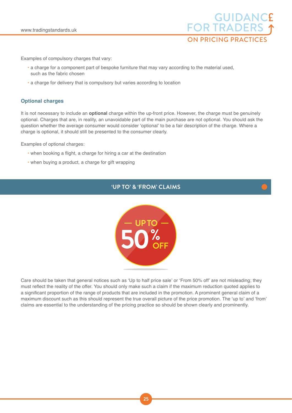

Examples of compulsory charges that vary:

- **•** a charge for a component part of bespoke furniture that may vary according to the material used, such as the fabric chosen
- **•** a charge for delivery that is compulsory but varies according to location

#### **Optional charges**

It is not necessary to include an **optional** charge within the up-front price. However, the charge must be genuinely optional. Charges that are, in reality, an unavoidable part of the main purchase are not optional. You should ask the question whether the average consumer would consider 'optional' to be a fair description of the charge. Where a charge is optional, it should still be presented to the consumer clearly.

Examples of optional charges:

- **•** when booking a flight, a charge for hiring a car at the destination
- **•** when buying a product, a charge for gift wrapping

#### **'Up to' & 'From' claims**



Care should be taken that general notices such as 'Up to half price sale' or 'From 50% off' are not misleading; they must reflect the reality of the offer. You should only make such a claim if the maximum reduction quoted applies to a significant proportion of the range of products that are included in the promotion. A prominent general claim of a maximum discount such as this should represent the true overall picture of the price promotion. The 'up to' and 'from' claims are essential to the understanding of the pricing practice so should be shown clearly and prominently.